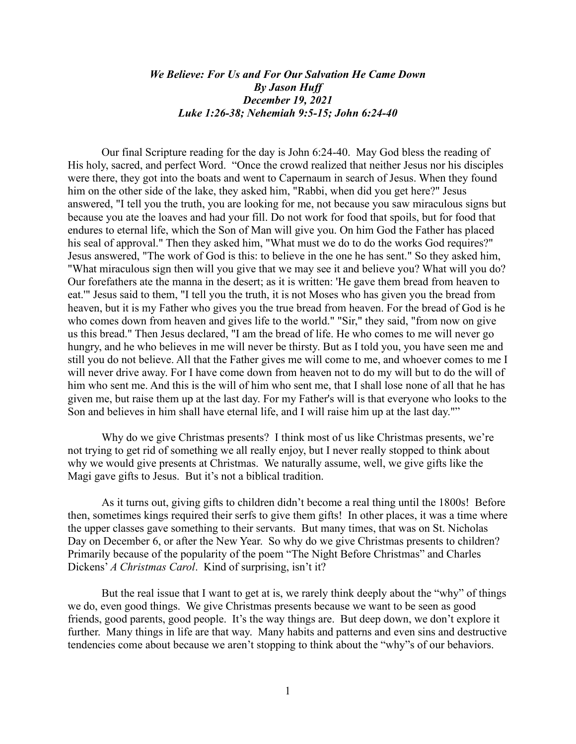## *We Believe: For Us and For Our Salvation He Came Down By Jason Huff December 19, 2021 Luke 1:26-38; Nehemiah 9:5-15; John 6:24-40*

Our final Scripture reading for the day is John 6:24-40. May God bless the reading of His holy, sacred, and perfect Word. "Once the crowd realized that neither Jesus nor his disciples were there, they got into the boats and went to Capernaum in search of Jesus. When they found him on the other side of the lake, they asked him, "Rabbi, when did you get here?" Jesus answered, "I tell you the truth, you are looking for me, not because you saw miraculous signs but because you ate the loaves and had your fill. Do not work for food that spoils, but for food that endures to eternal life, which the Son of Man will give you. On him God the Father has placed his seal of approval." Then they asked him, "What must we do to do the works God requires?" Jesus answered, "The work of God is this: to believe in the one he has sent." So they asked him, "What miraculous sign then will you give that we may see it and believe you? What will you do? Our forefathers ate the manna in the desert; as it is written: 'He gave them bread from heaven to eat.'" Jesus said to them, "I tell you the truth, it is not Moses who has given you the bread from heaven, but it is my Father who gives you the true bread from heaven. For the bread of God is he who comes down from heaven and gives life to the world." "Sir," they said, "from now on give us this bread." Then Jesus declared, "I am the bread of life. He who comes to me will never go hungry, and he who believes in me will never be thirsty. But as I told you, you have seen me and still you do not believe. All that the Father gives me will come to me, and whoever comes to me I will never drive away. For I have come down from heaven not to do my will but to do the will of him who sent me. And this is the will of him who sent me, that I shall lose none of all that he has given me, but raise them up at the last day. For my Father's will is that everyone who looks to the Son and believes in him shall have eternal life, and I will raise him up at the last day.""

Why do we give Christmas presents? I think most of us like Christmas presents, we're not trying to get rid of something we all really enjoy, but I never really stopped to think about why we would give presents at Christmas. We naturally assume, well, we give gifts like the Magi gave gifts to Jesus. But it's not a biblical tradition.

As it turns out, giving gifts to children didn't become a real thing until the 1800s! Before then, sometimes kings required their serfs to give them gifts! In other places, it was a time where the upper classes gave something to their servants. But many times, that was on St. Nicholas Day on December 6, or after the New Year. So why do we give Christmas presents to children? Primarily because of the popularity of the poem "The Night Before Christmas" and Charles Dickens' *A Christmas Carol*. Kind of surprising, isn't it?

But the real issue that I want to get at is, we rarely think deeply about the "why" of things we do, even good things. We give Christmas presents because we want to be seen as good friends, good parents, good people. It's the way things are. But deep down, we don't explore it further. Many things in life are that way. Many habits and patterns and even sins and destructive tendencies come about because we aren't stopping to think about the "why"s of our behaviors.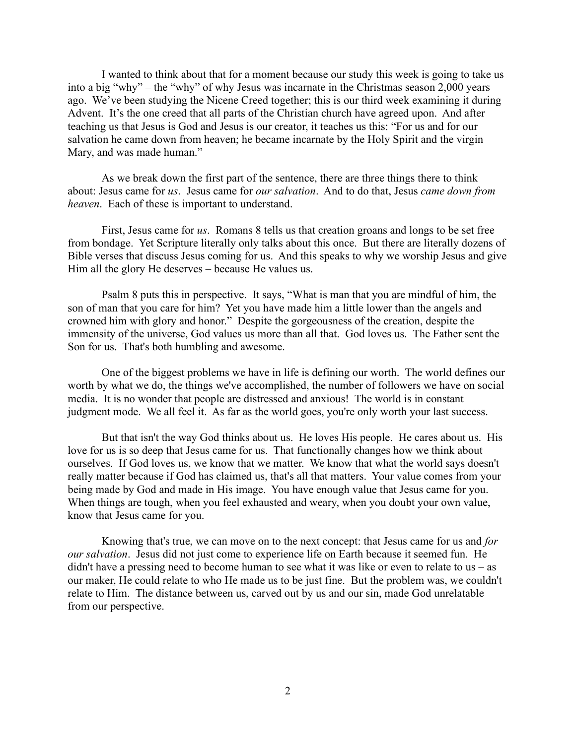I wanted to think about that for a moment because our study this week is going to take us into a big "why" – the "why" of why Jesus was incarnate in the Christmas season 2,000 years ago. We've been studying the Nicene Creed together; this is our third week examining it during Advent. It's the one creed that all parts of the Christian church have agreed upon. And after teaching us that Jesus is God and Jesus is our creator, it teaches us this: "For us and for our salvation he came down from heaven; he became incarnate by the Holy Spirit and the virgin Mary, and was made human."

As we break down the first part of the sentence, there are three things there to think about: Jesus came for *us*. Jesus came for *our salvation*. And to do that, Jesus *came down from heaven*. Each of these is important to understand.

First, Jesus came for *us*. Romans 8 tells us that creation groans and longs to be set free from bondage. Yet Scripture literally only talks about this once. But there are literally dozens of Bible verses that discuss Jesus coming for us. And this speaks to why we worship Jesus and give Him all the glory He deserves – because He values us.

Psalm 8 puts this in perspective. It says, "What is man that you are mindful of him, the son of man that you care for him? Yet you have made him a little lower than the angels and crowned him with glory and honor." Despite the gorgeousness of the creation, despite the immensity of the universe, God values us more than all that. God loves us. The Father sent the Son for us. That's both humbling and awesome.

One of the biggest problems we have in life is defining our worth. The world defines our worth by what we do, the things we've accomplished, the number of followers we have on social media. It is no wonder that people are distressed and anxious! The world is in constant judgment mode. We all feel it. As far as the world goes, you're only worth your last success.

But that isn't the way God thinks about us. He loves His people. He cares about us. His love for us is so deep that Jesus came for us. That functionally changes how we think about ourselves. If God loves us, we know that we matter. We know that what the world says doesn't really matter because if God has claimed us, that's all that matters. Your value comes from your being made by God and made in His image. You have enough value that Jesus came for you. When things are tough, when you feel exhausted and weary, when you doubt your own value, know that Jesus came for you.

Knowing that's true, we can move on to the next concept: that Jesus came for us and *for our salvation*. Jesus did not just come to experience life on Earth because it seemed fun. He didn't have a pressing need to become human to see what it was like or even to relate to us – as our maker, He could relate to who He made us to be just fine. But the problem was, we couldn't relate to Him. The distance between us, carved out by us and our sin, made God unrelatable from our perspective.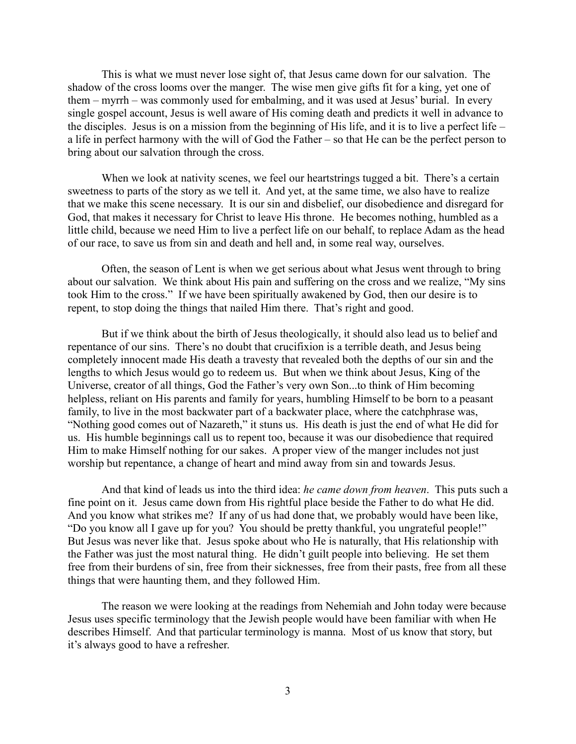This is what we must never lose sight of, that Jesus came down for our salvation. The shadow of the cross looms over the manger. The wise men give gifts fit for a king, yet one of them – myrrh – was commonly used for embalming, and it was used at Jesus' burial. In every single gospel account, Jesus is well aware of His coming death and predicts it well in advance to the disciples. Jesus is on a mission from the beginning of His life, and it is to live a perfect life – a life in perfect harmony with the will of God the Father – so that He can be the perfect person to bring about our salvation through the cross.

When we look at nativity scenes, we feel our heartstrings tugged a bit. There's a certain sweetness to parts of the story as we tell it. And yet, at the same time, we also have to realize that we make this scene necessary. It is our sin and disbelief, our disobedience and disregard for God, that makes it necessary for Christ to leave His throne. He becomes nothing, humbled as a little child, because we need Him to live a perfect life on our behalf, to replace Adam as the head of our race, to save us from sin and death and hell and, in some real way, ourselves.

Often, the season of Lent is when we get serious about what Jesus went through to bring about our salvation. We think about His pain and suffering on the cross and we realize, "My sins took Him to the cross." If we have been spiritually awakened by God, then our desire is to repent, to stop doing the things that nailed Him there. That's right and good.

But if we think about the birth of Jesus theologically, it should also lead us to belief and repentance of our sins. There's no doubt that crucifixion is a terrible death, and Jesus being completely innocent made His death a travesty that revealed both the depths of our sin and the lengths to which Jesus would go to redeem us. But when we think about Jesus, King of the Universe, creator of all things, God the Father's very own Son...to think of Him becoming helpless, reliant on His parents and family for years, humbling Himself to be born to a peasant family, to live in the most backwater part of a backwater place, where the catchphrase was, "Nothing good comes out of Nazareth," it stuns us. His death is just the end of what He did for us. His humble beginnings call us to repent too, because it was our disobedience that required Him to make Himself nothing for our sakes. A proper view of the manger includes not just worship but repentance, a change of heart and mind away from sin and towards Jesus.

And that kind of leads us into the third idea: *he came down from heaven*. This puts such a fine point on it. Jesus came down from His rightful place beside the Father to do what He did. And you know what strikes me? If any of us had done that, we probably would have been like, "Do you know all I gave up for you? You should be pretty thankful, you ungrateful people!" But Jesus was never like that. Jesus spoke about who He is naturally, that His relationship with the Father was just the most natural thing. He didn't guilt people into believing. He set them free from their burdens of sin, free from their sicknesses, free from their pasts, free from all these things that were haunting them, and they followed Him.

The reason we were looking at the readings from Nehemiah and John today were because Jesus uses specific terminology that the Jewish people would have been familiar with when He describes Himself. And that particular terminology is manna. Most of us know that story, but it's always good to have a refresher.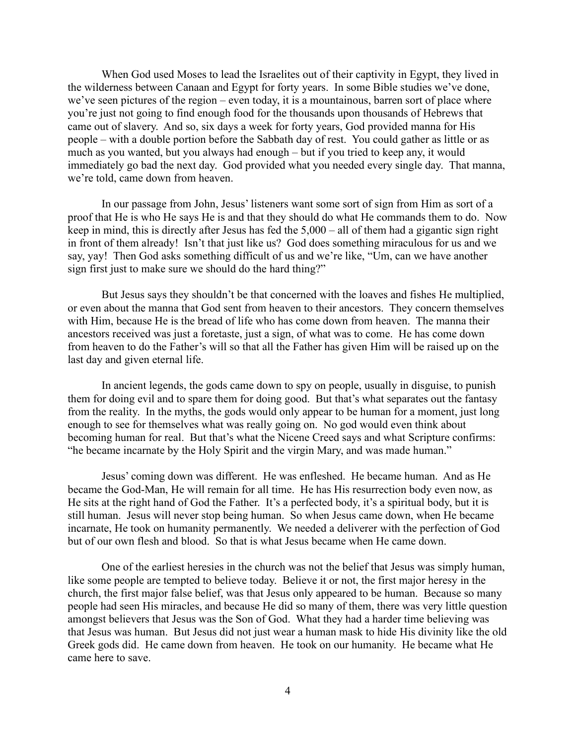When God used Moses to lead the Israelites out of their captivity in Egypt, they lived in the wilderness between Canaan and Egypt for forty years. In some Bible studies we've done, we've seen pictures of the region – even today, it is a mountainous, barren sort of place where you're just not going to find enough food for the thousands upon thousands of Hebrews that came out of slavery. And so, six days a week for forty years, God provided manna for His people – with a double portion before the Sabbath day of rest. You could gather as little or as much as you wanted, but you always had enough – but if you tried to keep any, it would immediately go bad the next day. God provided what you needed every single day. That manna, we're told, came down from heaven.

In our passage from John, Jesus' listeners want some sort of sign from Him as sort of a proof that He is who He says He is and that they should do what He commands them to do. Now keep in mind, this is directly after Jesus has fed the 5,000 – all of them had a gigantic sign right in front of them already! Isn't that just like us? God does something miraculous for us and we say, yay! Then God asks something difficult of us and we're like, "Um, can we have another sign first just to make sure we should do the hard thing?"

But Jesus says they shouldn't be that concerned with the loaves and fishes He multiplied, or even about the manna that God sent from heaven to their ancestors. They concern themselves with Him, because He is the bread of life who has come down from heaven. The manna their ancestors received was just a foretaste, just a sign, of what was to come. He has come down from heaven to do the Father's will so that all the Father has given Him will be raised up on the last day and given eternal life.

In ancient legends, the gods came down to spy on people, usually in disguise, to punish them for doing evil and to spare them for doing good. But that's what separates out the fantasy from the reality. In the myths, the gods would only appear to be human for a moment, just long enough to see for themselves what was really going on. No god would even think about becoming human for real. But that's what the Nicene Creed says and what Scripture confirms: "he became incarnate by the Holy Spirit and the virgin Mary, and was made human."

Jesus' coming down was different. He was enfleshed. He became human. And as He became the God-Man, He will remain for all time. He has His resurrection body even now, as He sits at the right hand of God the Father. It's a perfected body, it's a spiritual body, but it is still human. Jesus will never stop being human. So when Jesus came down, when He became incarnate, He took on humanity permanently. We needed a deliverer with the perfection of God but of our own flesh and blood. So that is what Jesus became when He came down.

One of the earliest heresies in the church was not the belief that Jesus was simply human, like some people are tempted to believe today. Believe it or not, the first major heresy in the church, the first major false belief, was that Jesus only appeared to be human. Because so many people had seen His miracles, and because He did so many of them, there was very little question amongst believers that Jesus was the Son of God. What they had a harder time believing was that Jesus was human. But Jesus did not just wear a human mask to hide His divinity like the old Greek gods did. He came down from heaven. He took on our humanity. He became what He came here to save.